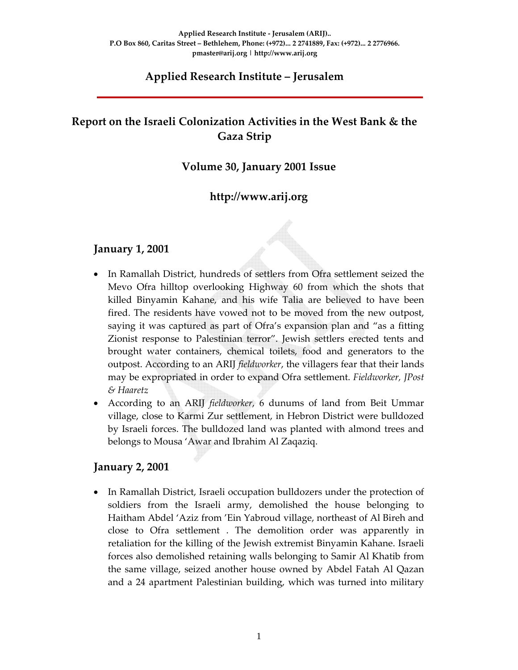# **Applied Research Institute – Jerusalem**

# **Report on the Israeli Colonization Activities in the West Bank & the Gaza Strip**

# **Volume 30, January 2001 Issue**

# **http://www.arij.org**

#### **January 1, 2001**

- In Ramallah District, hundreds of settlers from Ofra settlement seized the Mevo Ofra hilltop overlooking Highway 60 from which the shots that killed Binyamin Kahane, and his wife Talia are believed to have been fired. The residents have vowed not to be moved from the new outpost, saying it was captured as part of Ofra's expansion plan and "as a fitting Zionist response to Palestinian terror". Jewish settlers erected tents and brought water containers, chemical toilets, food and generators to the outpost. According to an ARIJ *fieldworker*, the villagers fear that their lands may be expropriated in order to expand Ofra settlement. *Fieldworker, JPost & Haaretz*
- According to an ARIJ *fieldworker*, 6 dunums of land from Beit Ummar village, close to Karmi Zur settlement, in Hebron District were bulldozed by Israeli forces. The bulldozed land was planted with almond trees and belongs to Mousa 'Awar and Ibrahim Al Zaqaziq.

#### **January 2, 2001**

• In Ramallah District, Israeli occupation bulldozers under the protection of soldiers from the Israeli army, demolished the house belonging to Haitham Abdel 'Aziz from 'Ein Yabroud village, northeast of Al Bireh and close to Ofra settlement . The demolition order was apparently in retaliation for the killing of the Jewish extremist Binyamin Kahane. Israeli forces also demolished retaining walls belonging to Samir Al Khatib from the same village, seized another house owned by Abdel Fatah Al Qazan and a 24 apartment Palestinian building, which was turned into military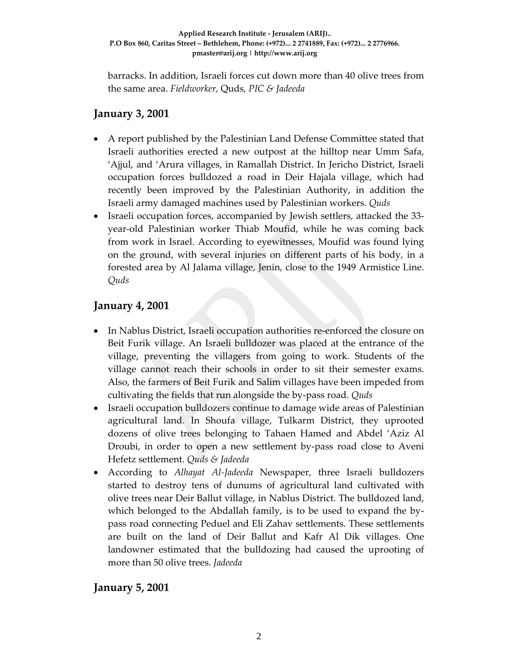barracks. In addition, Israeli forces cut down more than 40 olive trees from the same area. *Fieldworker,* Quds*, PIC & Jadeeda*

# **January 3, 2001**

- A report published by the Palestinian Land Defense Committee stated that Israeli authorities erected a new outpost at the hilltop near Umm Safa, 'Ajjul, and 'Arura villages, in Ramallah District. In Jericho District, Israeli occupation forces bulldozed a road in Deir Hajala village, which had recently been improved by the Palestinian Authority, in addition the Israeli army damaged machines used by Palestinian workers. *Quds*
- Israeli occupation forces, accompanied by Jewish settlers, attacked the 33– year‐old Palestinian worker Thiab Moufid, while he was coming back from work in Israel. According to eyewitnesses, Moufid was found lying on the ground, with several injuries on different parts of his body, in a forested area by Al Jalama village, Jenin, close to the 1949 Armistice Line. *Quds*

# **January 4, 2001**

- In Nablus District, Israeli occupation authorities re-enforced the closure on Beit Furik village. An Israeli bulldozer was placed at the entrance of the village, preventing the villagers from going to work. Students of the village cannot reach their schools in order to sit their semester exams. Also, the farmers of Beit Furik and Salim villages have been impeded from cultivating the fields that run alongside the by‐pass road. *Quds*
- Israeli occupation bulldozers continue to damage wide areas of Palestinian agricultural land. In Shoufa village, Tulkarm District, they uprooted dozens of olive trees belonging to Tahaen Hamed and Abdel 'Aziz Al Droubi, in order to open a new settlement by-pass road close to Aveni Hefetz settlement. *Quds & Jadeeda*
- According to *Alhayat Al‐Jadeeda* Newspaper, three Israeli bulldozers started to destroy tens of dunums of agricultural land cultivated with olive trees near Deir Ballut village, in Nablus District. The bulldozed land, which belonged to the Abdallah family, is to be used to expand the bypass road connecting Peduel and Eli Zahav settlements. These settlements are built on the land of Deir Ballut and Kafr Al Dik villages. One landowner estimated that the bulldozing had caused the uprooting of more than 50 olive trees. *Jadeeda*

# **January 5, 2001**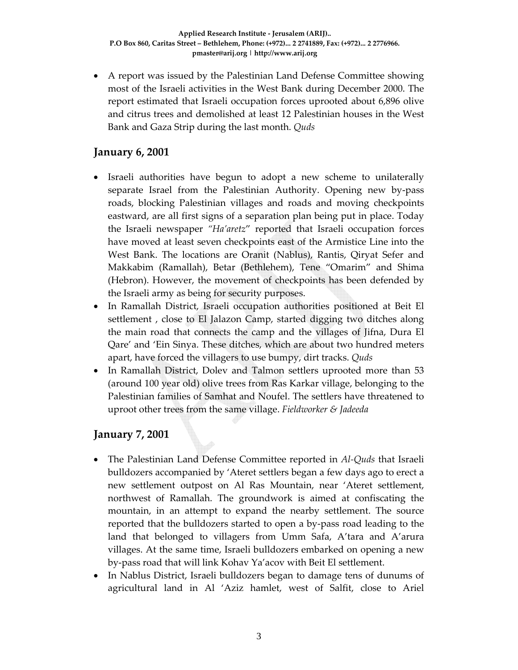• A report was issued by the Palestinian Land Defense Committee showing most of the Israeli activities in the West Bank during December 2000. The report estimated that Israeli occupation forces uprooted about 6,896 olive and citrus trees and demolished at least 12 Palestinian houses in the West Bank and Gaza Strip during the last month. *Quds*

# **January 6, 2001**

- Israeli authorities have begun to adopt a new scheme to unilaterally separate Israel from the Palestinian Authority. Opening new by-pass roads, blocking Palestinian villages and roads and moving checkpoints eastward, are all first signs of a separation plan being put in place. Today the Israeli newspaper *"Ha'aretz*" reported that Israeli occupation forces have moved at least seven checkpoints east of the Armistice Line into the West Bank. The locations are Oranit (Nablus), Rantis, Qiryat Sefer and Makkabim (Ramallah), Betar (Bethlehem), Tene "Omarim" and Shima (Hebron). However, the movement of checkpoints has been defended by the Israeli army as being for security purposes.
- In Ramallah District, Israeli occupation authorities positioned at Beit El settlement , close to El Jalazon Camp, started digging two ditches along the main road that connects the camp and the villages of Jifna, Dura El Qare' and 'Ein Sinya. These ditches, which are about two hundred meters apart, have forced the villagers to use bumpy, dirt tracks. *Quds*
- In Ramallah District, Dolev and Talmon settlers uprooted more than 53 (around 100 year old) olive trees from Ras Karkar village, belonging to the Palestinian families of Samhat and Noufel. The settlers have threatened to uproot other trees from the same village. *Fieldworker & Jadeeda*

#### **January 7, 2001**

- The Palestinian Land Defense Committee reported in *Al‐Quds* that Israeli bulldozers accompanied by 'Ateret settlers began a few days ago to erect a new settlement outpost on Al Ras Mountain, near 'Ateret settlement, northwest of Ramallah. The groundwork is aimed at confiscating the mountain, in an attempt to expand the nearby settlement. The source reported that the bulldozers started to open a by‐pass road leading to the land that belonged to villagers from Umm Safa, A'tara and A'arura villages. At the same time, Israeli bulldozers embarked on opening a new by‐pass road that will link Kohav Ya'acov with Beit El settlement.
- In Nablus District, Israeli bulldozers began to damage tens of dunums of agricultural land in Al 'Aziz hamlet, west of Salfit, close to Ariel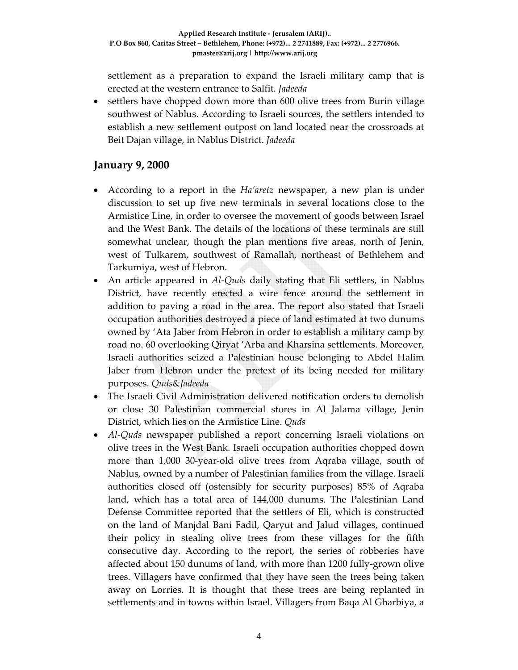settlement as a preparation to expand the Israeli military camp that is erected at the western entrance to Salfit. *Jadeeda*

• settlers have chopped down more than 600 olive trees from Burin village southwest of Nablus. According to Israeli sources, the settlers intended to establish a new settlement outpost on land located near the crossroads at Beit Dajan village, in Nablus District. *Jadeeda*

#### **January 9, 2000**

- According to a report in the *Ha'aretz* newspaper, a new plan is under discussion to set up five new terminals in several locations close to the Armistice Line, in order to oversee the movement of goods between Israel and the West Bank. The details of the locations of these terminals are still somewhat unclear, though the plan mentions five areas, north of Jenin, west of Tulkarem, southwest of Ramallah, northeast of Bethlehem and Tarkumiya, west of Hebron.
- An article appeared in *Al*-*Quds* daily stating that Eli settlers, in Nablus District, have recently erected a wire fence around the settlement in addition to paving a road in the area. The report also stated that Israeli occupation authorities destroyed a piece of land estimated at two dunums owned by 'Ata Jaber from Hebron in order to establish a military camp by road no. 60 overlooking Qiryat 'Arba and Kharsina settlements. Moreover, Israeli authorities seized a Palestinian house belonging to Abdel Halim Jaber from Hebron under the pretext of its being needed for military purposes. *Quds*&*Jadeeda*
- The Israeli Civil Administration delivered notification orders to demolish or close 30 Palestinian commercial stores in Al Jalama village, Jenin District, which lies on the Armistice Line. *Quds*
- *Al-Quds* newspaper published a report concerning Israeli violations on olive trees in the West Bank. Israeli occupation authorities chopped down more than 1,000 30-year-old olive trees from Aqraba village, south of Nablus, owned by a number of Palestinian families from the village. Israeli authorities closed off (ostensibly for security purposes) 85% of Aqraba land, which has a total area of 144,000 dunums. The Palestinian Land Defense Committee reported that the settlers of Eli, which is constructed on the land of Manjdal Bani Fadil, Qaryut and Jalud villages, continued their policy in stealing olive trees from these villages for the fifth consecutive day. According to the report, the series of robberies have affected about 150 dunums of land, with more than 1200 fully‐grown olive trees. Villagers have confirmed that they have seen the trees being taken away on Lorries. It is thought that these trees are being replanted in settlements and in towns within Israel. Villagers from Baqa Al Gharbiya, a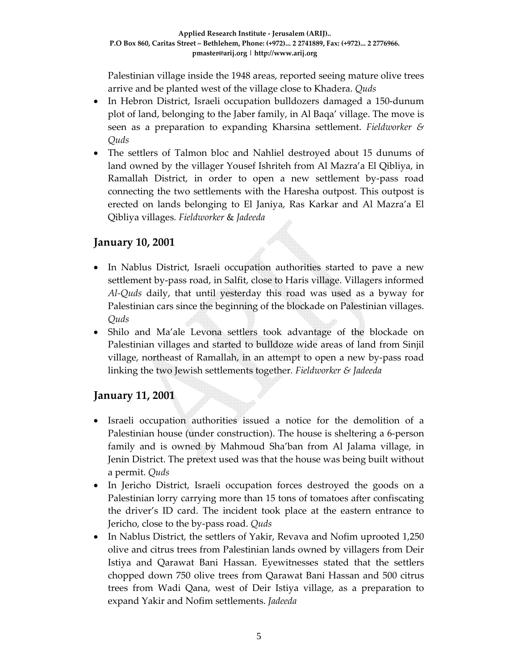Palestinian village inside the 1948 areas, reported seeing mature olive trees arrive and be planted west of the village close to Khadera. *Quds*

- In Hebron District, Israeli occupation bulldozers damaged a 150-dunum plot of land, belonging to the Jaber family, in Al Baqa' village. The move is seen as a preparation to expanding Kharsina settlement. *Fieldworker & Quds*
- The settlers of Talmon bloc and Nahliel destroyed about 15 dunums of land owned by the villager Yousef Ishriteh from Al Mazra'a El Qibliya, in Ramallah District, in order to open a new settlement by‐pass road connecting the two settlements with the Haresha outpost. This outpost is erected on lands belonging to El Janiya, Ras Karkar and Al Mazra'a El Qibliya villages*. Fieldworker* & *Jadeeda*

# **January 10, 2001**

- In Nablus District, Israeli occupation authorities started to pave a new settlement by‐pass road, in Salfit, close to Haris village. Villagers informed *Al‐Quds* daily, that until yesterday this road was used as a byway for Palestinian cars since the beginning of the blockade on Palestinian villages. *Quds*
- Shilo and Ma'ale Levona settlers took advantage of the blockade on Palestinian villages and started to bulldoze wide areas of land from Sinjil village, northeast of Ramallah, in an attempt to open a new by‐pass road linking the two Jewish settlements together*. Fieldworker & Jadeeda*

# **January 11, 2001**

- Israeli occupation authorities issued a notice for the demolition of a Palestinian house (under construction). The house is sheltering a 6‐person family and is owned by Mahmoud Sha'ban from Al Jalama village, in Jenin District. The pretext used was that the house was being built without a permit. *Quds*
- In Jericho District, Israeli occupation forces destroyed the goods on a Palestinian lorry carrying more than 15 tons of tomatoes after confiscating the driver's ID card. The incident took place at the eastern entrance to Jericho, close to the by‐pass road. *Quds*
- In Nablus District, the settlers of Yakir, Revava and Nofim uprooted 1,250 olive and citrus trees from Palestinian lands owned by villagers from Deir Istiya and Qarawat Bani Hassan. Eyewitnesses stated that the settlers chopped down 750 olive trees from Qarawat Bani Hassan and 500 citrus trees from Wadi Qana, west of Deir Istiya village, as a preparation to expand Yakir and Nofim settlements. *Jadeeda*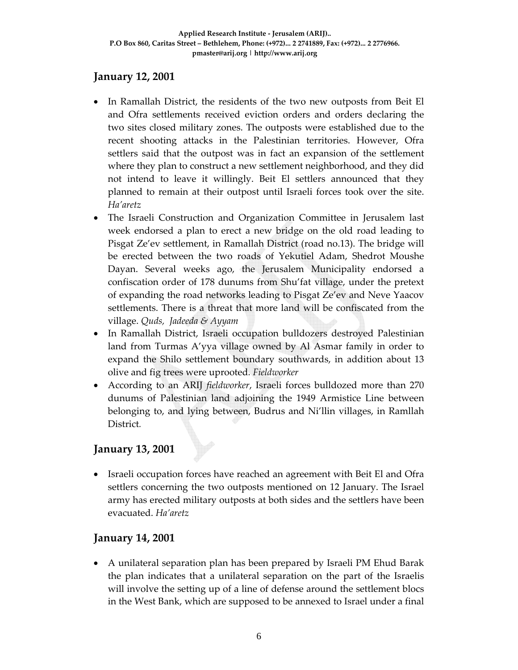### **January 12, 2001**

- In Ramallah District, the residents of the two new outposts from Beit El and Ofra settlements received eviction orders and orders declaring the two sites closed military zones. The outposts were established due to the recent shooting attacks in the Palestinian territories. However, Ofra settlers said that the outpost was in fact an expansion of the settlement where they plan to construct a new settlement neighborhood, and they did not intend to leave it willingly. Beit El settlers announced that they planned to remain at their outpost until Israeli forces took over the site. *Ha'aretz*
- The Israeli Construction and Organization Committee in Jerusalem last week endorsed a plan to erect a new bridge on the old road leading to Pisgat Ze'ev settlement, in Ramallah District (road no.13). The bridge will be erected between the two roads of Yekutiel Adam, Shedrot Moushe Dayan. Several weeks ago, the Jerusalem Municipality endorsed a confiscation order of 178 dunums from Shu'fat village, under the pretext of expanding the road networks leading to Pisgat Ze'ev and Neve Yaacov settlements. There is a threat that more land will be confiscated from the village. *Quds, Jadeeda & Ayyam*
- In Ramallah District, Israeli occupation bulldozers destroyed Palestinian land from Turmas A'yya village owned by Al Asmar family in order to expand the Shilo settlement boundary southwards, in addition about 13 olive and fig trees were uprooted*. Fieldworker*
- According to an ARIJ *fieldworker*, Israeli forces bulldozed more than 270 dunums of Palestinian land adjoining the 1949 Armistice Line between belonging to, and lying between, Budrus and Ni'llin villages, in Ramllah District*.*

# **January 13, 2001**

• Israeli occupation forces have reached an agreement with Beit El and Ofra settlers concerning the two outposts mentioned on 12 January. The Israel army has erected military outposts at both sides and the settlers have been evacuated. *Ha'aretz*

# **January 14, 2001**

• A unilateral separation plan has been prepared by Israeli PM Ehud Barak the plan indicates that a unilateral separation on the part of the Israelis will involve the setting up of a line of defense around the settlement blocs in the West Bank, which are supposed to be annexed to Israel under a final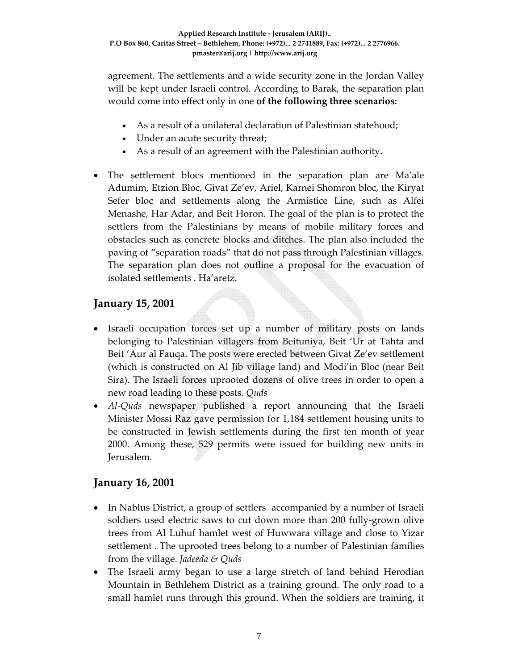agreement. The settlements and a wide security zone in the Jordan Valley will be kept under Israeli control. According to Barak, the separation plan would come into effect only in one **of the following three scenarios:**

- As a result of a unilateral declaration of Palestinian statehood;
- Under an acute security threat;
- As a result of an agreement with the Palestinian authority.
- The settlement blocs mentioned in the separation plan are Ma'ale Adumim, Etzion Bloc, Givat Ze'ev, Ariel, Karnei Shomron bloc, the Kiryat Sefer bloc and settlements along the Armistice Line, such as Alfei Menashe, Har Adar, and Beit Horon. The goal of the plan is to protect the settlers from the Palestinians by means of mobile military forces and obstacles such as concrete blocks and ditches. The plan also included the paving of "separation roads" that do not pass through Palestinian villages. The separation plan does not outline a proposal for the evacuation of isolated settlements . Ha'aretz.

### **January 15, 2001**

- Israeli occupation forces set up a number of military posts on lands belonging to Palestinian villagers from Beituniya, Beit 'Ur at Tahta and Beit 'Aur al Fauqa. The posts were erected between Givat Ze'ev settlement (which is constructed on Al Jib village land) and Modi'in Bloc (near Beit Sira). The Israeli forces uprooted dozens of olive trees in order to open a new road leading to these posts*. Quds*
- *Al-Quds* newspaper published a report announcing that the Israeli Minister Mossi Raz gave permission for 1,184 settlement housing units to be constructed in Jewish settlements during the first ten month of year 2000. Among these, 529 permits were issued for building new units in Jerusalem.

#### **January 16, 2001**

- In Nablus District, a group of settlers accompanied by a number of Israeli soldiers used electric saws to cut down more than 200 fully-grown olive trees from Al Luhuf hamlet west of Huwwara village and close to Yizar settlement . The uprooted trees belong to a number of Palestinian families from the village. *Jadeeda & Quds*
- The Israeli army began to use a large stretch of land behind Herodian Mountain in Bethlehem District as a training ground. The only road to a small hamlet runs through this ground. When the soldiers are training, it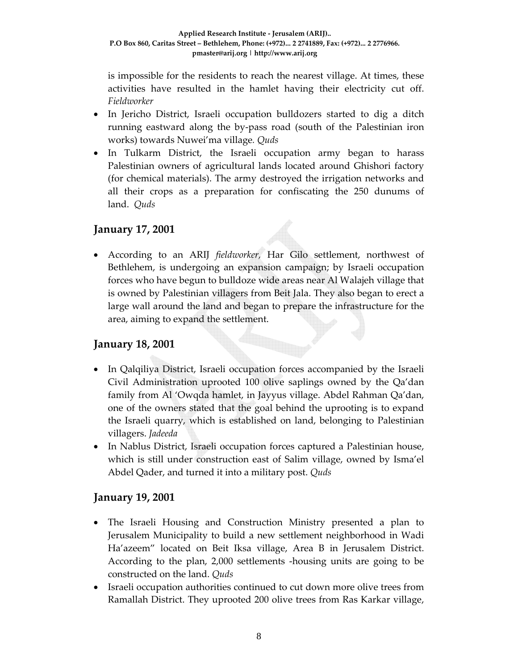is impossible for the residents to reach the nearest village. At times, these activities have resulted in the hamlet having their electricity cut off. *Fieldworker*

- In Jericho District, Israeli occupation bulldozers started to dig a ditch running eastward along the by‐pass road (south of the Palestinian iron works) towards Nuwei'ma village*. Quds*
- In Tulkarm District, the Israeli occupation army began to harass Palestinian owners of agricultural lands located around Ghishori factory (for chemical materials). The army destroyed the irrigation networks and all their crops as a preparation for confiscating the 250 dunums of land. *Quds*

#### **January 17, 2001**

• According to an ARIJ *fieldworker,* Har Gilo settlement, northwest of Bethlehem, is undergoing an expansion campaign; by Israeli occupation forces who have begun to bulldoze wide areas near Al Walajeh village that is owned by Palestinian villagers from Beit Jala. They also began to erect a large wall around the land and began to prepare the infrastructure for the area, aiming to expand the settlement.

#### **January 18, 2001**

- In Qalqiliya District, Israeli occupation forces accompanied by the Israeli Civil Administration uprooted 100 olive saplings owned by the Qa'dan family from Al 'Owqda hamlet, in Jayyus village. Abdel Rahman Qa'dan, one of the owners stated that the goal behind the uprooting is to expand the Israeli quarry, which is established on land, belonging to Palestinian villagers. *Jadeeda*
- In Nablus District, Israeli occupation forces captured a Palestinian house, which is still under construction east of Salim village, owned by Isma'el Abdel Qader, and turned it into a military post. *Quds*

#### **January 19, 2001**

- The Israeli Housing and Construction Ministry presented a plan to Jerusalem Municipality to build a new settlement neighborhood in Wadi Ha'azeem" located on Beit Iksa village, Area B in Jerusalem District. According to the plan, 2,000 settlements ‐housing units are going to be constructed on the land. *Quds*
- Israeli occupation authorities continued to cut down more olive trees from Ramallah District. They uprooted 200 olive trees from Ras Karkar village,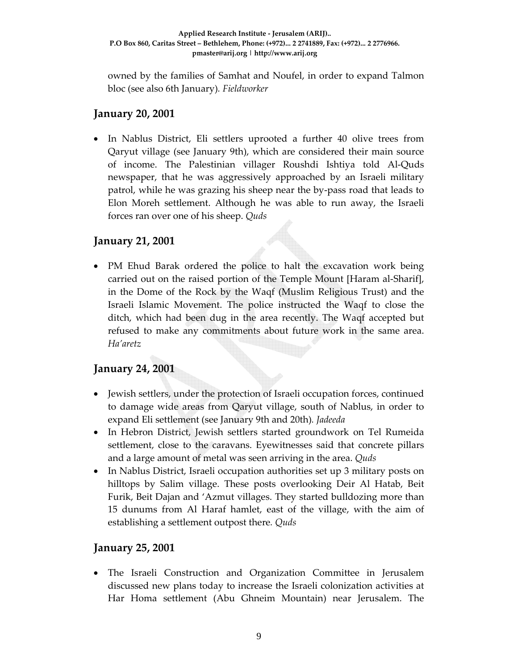owned by the families of Samhat and Noufel, in order to expand Talmon bloc (see also 6th January)*. Fieldworker*

#### **January 20, 2001**

• In Nablus District, Eli settlers uprooted a further 40 olive trees from Qaryut village (see January 9th), which are considered their main source of income. The Palestinian villager Roushdi Ishtiya told Al‐Quds newspaper, that he was aggressively approached by an Israeli military patrol, while he was grazing his sheep near the by‐pass road that leads to Elon Moreh settlement. Although he was able to run away, the Israeli forces ran over one of his sheep. *Quds*

### **January 21, 2001**

• PM Ehud Barak ordered the police to halt the excavation work being carried out on the raised portion of the Temple Mount [Haram al‐Sharif], in the Dome of the Rock by the Waqf (Muslim Religious Trust) and the Israeli Islamic Movement. The police instructed the Waqf to close the ditch, which had been dug in the area recently. The Waqf accepted but refused to make any commitments about future work in the same area. *Ha'aretz*

# **January 24, 2001**

- Jewish settlers, under the protection of Israeli occupation forces, continued to damage wide areas from Qaryut village, south of Nablus, in order to expand Eli settlement (see January 9th and 20th)*. Jadeeda*
- In Hebron District, Jewish settlers started groundwork on Tel Rumeida settlement, close to the caravans. Eyewitnesses said that concrete pillars and a large amount of metal was seen arriving in the area. *Quds*
- In Nablus District, Israeli occupation authorities set up 3 military posts on hilltops by Salim village. These posts overlooking Deir Al Hatab, Beit Furik, Beit Dajan and 'Azmut villages. They started bulldozing more than 15 dunums from Al Haraf hamlet, east of the village, with the aim of establishing a settlement outpost there*. Quds*

# **January 25, 2001**

• The Israeli Construction and Organization Committee in Jerusalem discussed new plans today to increase the Israeli colonization activities at Har Homa settlement (Abu Ghneim Mountain) near Jerusalem. The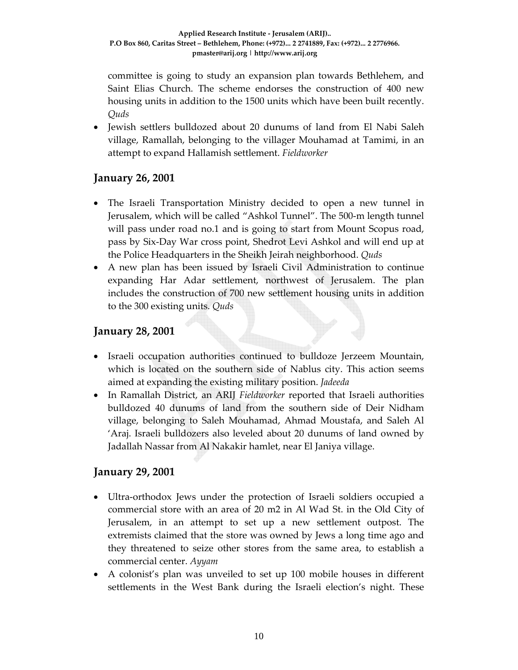committee is going to study an expansion plan towards Bethlehem, and Saint Elias Church. The scheme endorses the construction of 400 new housing units in addition to the 1500 units which have been built recently. *Quds*

• Jewish settlers bulldozed about 20 dunums of land from El Nabi Saleh village, Ramallah, belonging to the villager Mouhamad at Tamimi, in an attempt to expand Hallamish settlement. *Fieldworker*

# **January 26, 2001**

- The Israeli Transportation Ministry decided to open a new tunnel in Jerusalem, which will be called "Ashkol Tunnel". The 500‐m length tunnel will pass under road no.1 and is going to start from Mount Scopus road, pass by Six‐Day War cross point, Shedrot Levi Ashkol and will end up at the Police Headquarters in the Sheikh Jeirah neighborhood. *Quds*
- A new plan has been issued by Israeli Civil Administration to continue expanding Har Adar settlement, northwest of Jerusalem. The plan includes the construction of 700 new settlement housing units in addition to the 300 existing units. *Quds*

# **January 28, 2001**

- Israeli occupation authorities continued to bulldoze Jerzeem Mountain, which is located on the southern side of Nablus city. This action seems aimed at expanding the existing military position. *Jadeeda*
- In Ramallah District, an ARIJ *Fieldworker* reported that Israeli authorities bulldozed 40 dunums of land from the southern side of Deir Nidham village, belonging to Saleh Mouhamad, Ahmad Moustafa, and Saleh Al 'Araj. Israeli bulldozers also leveled about 20 dunums of land owned by Jadallah Nassar from Al Nakakir hamlet, near El Janiya village.

# **January 29, 2001**

- Ultra-orthodox Jews under the protection of Israeli soldiers occupied a commercial store with an area of 20 m2 in Al Wad St. in the Old City of Jerusalem, in an attempt to set up a new settlement outpost. The extremists claimed that the store was owned by Jews a long time ago and they threatened to seize other stores from the same area, to establish a commercial center. *Ayyam*
- A colonist's plan was unveiled to set up 100 mobile houses in different settlements in the West Bank during the Israeli election's night. These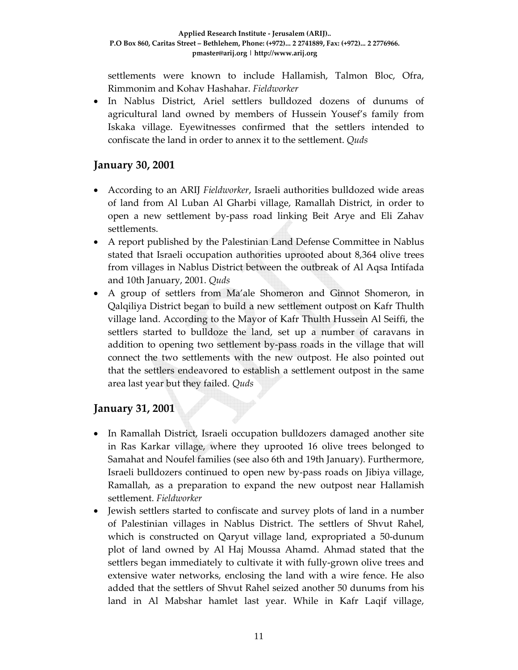settlements were known to include Hallamish, Talmon Bloc, Ofra, Rimmonim and Kohav Hashahar. *Fieldworker* 

• In Nablus District, Ariel settlers bulldozed dozens of dunums of agricultural land owned by members of Hussein Yousef's family from Iskaka village. Eyewitnesses confirmed that the settlers intended to confiscate the land in order to annex it to the settlement. *Quds*

### **January 30, 2001**

- According to an ARIJ *Fieldworker*, Israeli authorities bulldozed wide areas of land from Al Luban Al Gharbi village, Ramallah District, in order to open a new settlement by‐pass road linking Beit Arye and Eli Zahav settlements.
- A report published by the Palestinian Land Defense Committee in Nablus stated that Israeli occupation authorities uprooted about 8,364 olive trees from villages in Nablus District between the outbreak of Al Aqsa Intifada and 10th January, 2001. *Quds*
- A group of settlers from Ma'ale Shomeron and Ginnot Shomeron, in Qalqiliya District began to build a new settlement outpost on Kafr Thulth village land. According to the Mayor of Kafr Thulth Hussein Al Seiffi, the settlers started to bulldoze the land, set up a number of caravans in addition to opening two settlement by‐pass roads in the village that will connect the two settlements with the new outpost. He also pointed out that the settlers endeavored to establish a settlement outpost in the same area last year but they failed*. Quds*

# **January 31, 2001**

- In Ramallah District, Israeli occupation bulldozers damaged another site in Ras Karkar village, where they uprooted 16 olive trees belonged to Samahat and Noufel families (see also 6th and 19th January). Furthermore, Israeli bulldozers continued to open new by‐pass roads on Jibiya village, Ramallah, as a preparation to expand the new outpost near Hallamish settlement. *Fieldworker*
- Jewish settlers started to confiscate and survey plots of land in a number of Palestinian villages in Nablus District. The settlers of Shvut Rahel, which is constructed on Qaryut village land, expropriated a 50‐dunum plot of land owned by Al Haj Moussa Ahamd. Ahmad stated that the settlers began immediately to cultivate it with fully‐grown olive trees and extensive water networks, enclosing the land with a wire fence. He also added that the settlers of Shvut Rahel seized another 50 dunums from his land in Al Mabshar hamlet last year. While in Kafr Laqif village,